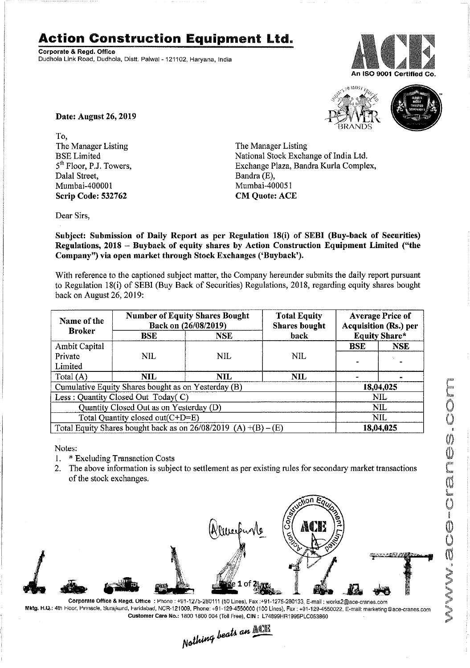## **Action Construction Equipment Ltd.**

Corporate & Regd. Office Dudhola Link Road, Dudhola, Distt, Palwal-121102, Haryana, India





Date: August 26, 2019

To, The Manager Listing BSE Limited 5<sup>th</sup> Floor, P.J. Towers, Dalal Street, Mumbai-40000 1 Scrip Code: 532762

The Manager Listing National Stock Exchange of India Ltd. Exchange Plaza, Bandra Kurla Complex, Bandra (E), Mumbai-400051 CM Quote: ACE

Dear Sirs,

Subject: Submission of Daily Report as per Regulation 18(i) of SEBI (Buy-back of Securities) Regulations, 2018 - Buyback of equity shares by Action Construction Equipment Limited ("the Company") via open market through Stock Exchanges ('Buyback').

With reference to the captioned subject matter, the Company hereunder submits the daily report pursuant to Regulation 18(i) of SEBI (Buy Back of Securities) Regulations, 2018, regarding equity shares bought back on August 26, 2019:

| Name of the<br><b>Broker</b>                                      | <b>Number of Equity Shares Bought</b><br>Back on (26/08/2019) |            | <b>Total Equity</b><br><b>Shares</b> bought | <b>Average Price of</b><br><b>Acquisition (Rs.) per</b> |            |  |
|-------------------------------------------------------------------|---------------------------------------------------------------|------------|---------------------------------------------|---------------------------------------------------------|------------|--|
|                                                                   | <b>BSE</b>                                                    | <b>NSE</b> | back                                        | <b>Equity Share*</b>                                    |            |  |
| Ambit Capital                                                     |                                                               |            |                                             | <b>BSE</b>                                              | <b>NSE</b> |  |
| Private                                                           | <b>NIL</b>                                                    | <b>NIL</b> | NIL.                                        |                                                         |            |  |
| Limited                                                           |                                                               |            |                                             |                                                         |            |  |
| Total (A)                                                         | NIL.                                                          | <b>NIL</b> | NIL.                                        |                                                         |            |  |
| Cumulative Equity Shares bought as on Yesterday (B)               |                                                               |            |                                             |                                                         | 18,04,025  |  |
| Less: Quantity Closed Out Today(C)                                |                                                               |            |                                             | <b>NIL</b>                                              |            |  |
| Quantity Closed Out as on Yesterday (D)                           |                                                               |            |                                             | <b>NIL</b>                                              |            |  |
| Total Quantity closed out(C+D=E)                                  |                                                               |            |                                             |                                                         | <b>NIL</b> |  |
| Total Equity Shares bought back as on $26/08/2019$ (A) +(B) – (E) |                                                               |            |                                             | 18,04,025                                               |            |  |

Notes:

- 1. \* Excluding Transaction Costs
- 2. The above information is subject to settlement as per existing rules for secondary market transactions of the stock exchanges.



Corporate Office & Regd. Office : Phone : +91-1275-280111 (50 Lines). Fax:+91-1275-280133, E-mail: works2@ace-cranes.com Mktg. H.Q.: 4th Hoor, Pinnacle, Surajkund, Faridabad, NCR-121009, Phone: +91-129-4550000 (100 Lines), Fax: +91-129-4550022, E-mail: marketing@ace-cranes.com

Customer Care No.: 1800 1800 004 (Toll Free), CIN: L74899HR1995PLC053860<br>Nathing beats an **Malli**